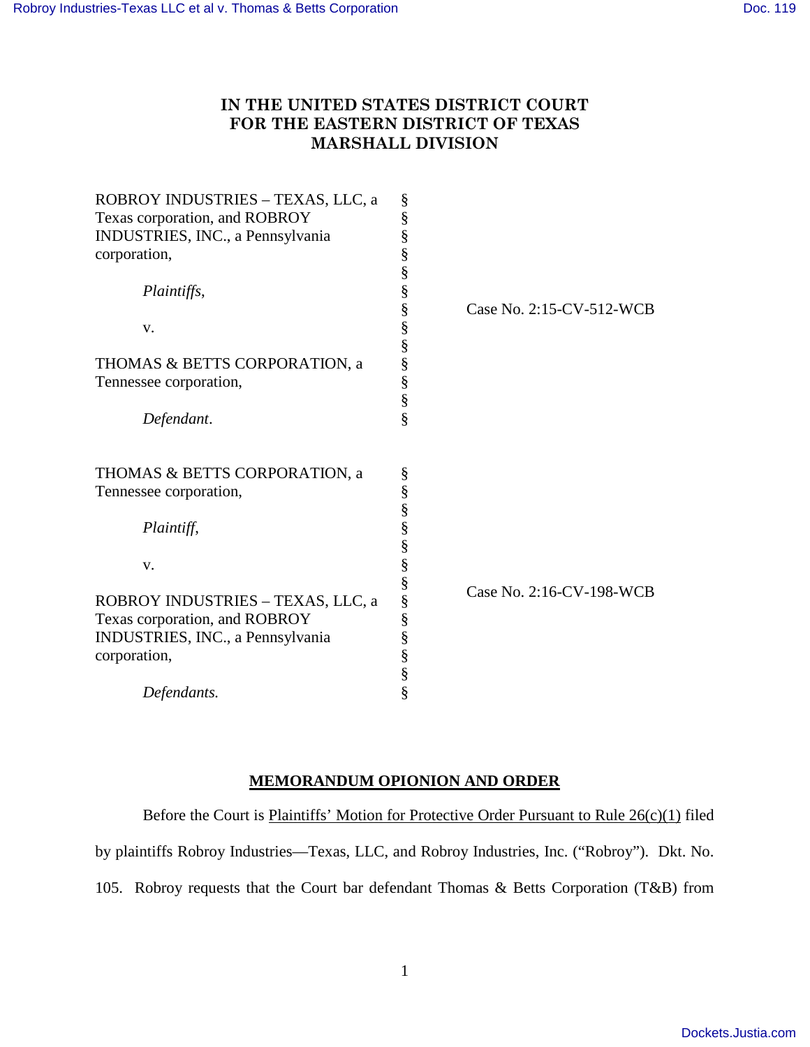## **IN THE UNITED STATES DISTRICT COURT FOR THE EASTERN DISTRICT OF TEXAS MARSHALL DIVISION**

| ROBROY INDUSTRIES - TEXAS, LLC, a | §      |                          |
|-----------------------------------|--------|--------------------------|
| Texas corporation, and ROBROY     | §      |                          |
| INDUSTRIES, INC., a Pennsylvania  | §      |                          |
| corporation,                      | §      |                          |
|                                   | §      |                          |
| Plaintiffs,                       | §      |                          |
|                                   | §      | Case No. 2:15-CV-512-WCB |
| V.                                | §      |                          |
|                                   |        |                          |
| THOMAS & BETTS CORPORATION, a     | §<br>§ |                          |
| Tennessee corporation,            | §      |                          |
|                                   | $\S$   |                          |
| Defendant.                        | §      |                          |
|                                   |        |                          |
| THOMAS & BETTS CORPORATION, a     | §      |                          |
| Tennessee corporation,            | §      |                          |
|                                   | §      |                          |
| Plaintiff,                        | §      |                          |
|                                   | §      |                          |
| V.                                | §      |                          |
|                                   | §      |                          |
| ROBROY INDUSTRIES - TEXAS, LLC, a | §      | Case No. 2:16-CV-198-WCB |
| Texas corporation, and ROBROY     |        |                          |
| INDUSTRIES, INC., a Pennsylvania  | §<br>§ |                          |
|                                   |        |                          |
| corporation,                      | §      |                          |
|                                   | §      |                          |
| Defendants.                       | §      |                          |

## **MEMORANDUM OPIONION AND ORDER**

Before the Court is Plaintiffs' Motion for Protective Order Pursuant to Rule 26(c)(1) filed

by plaintiffs Robroy Industries—Texas, LLC, and Robroy Industries, Inc. ("Robroy"). Dkt. No.

105. Robroy requests that the Court bar defendant Thomas & Betts Corporation (T&B) from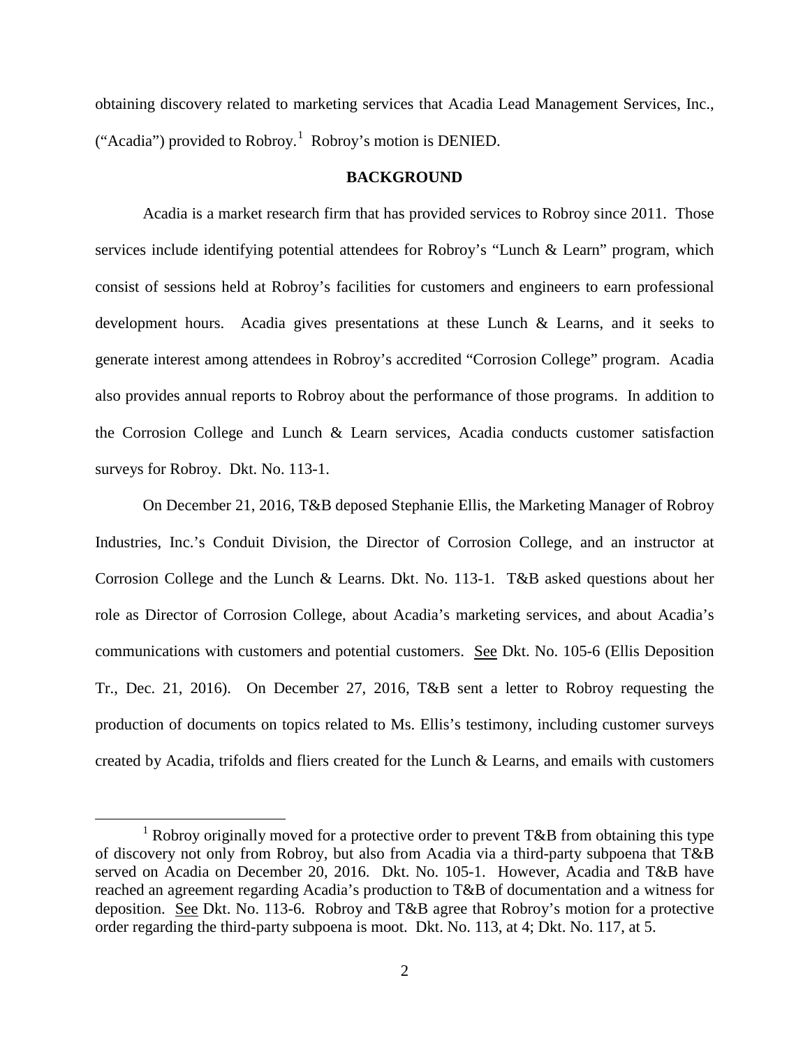obtaining discovery related to marketing services that Acadia Lead Management Services, Inc., ("Acadia") provided to Robroy.<sup>[1](#page-1-0)</sup> Robroy's motion is DENIED.

## **BACKGROUND**

Acadia is a market research firm that has provided services to Robroy since 2011. Those services include identifying potential attendees for Robroy's "Lunch & Learn" program, which consist of sessions held at Robroy's facilities for customers and engineers to earn professional development hours. Acadia gives presentations at these Lunch & Learns, and it seeks to generate interest among attendees in Robroy's accredited "Corrosion College" program. Acadia also provides annual reports to Robroy about the performance of those programs. In addition to the Corrosion College and Lunch & Learn services, Acadia conducts customer satisfaction surveys for Robroy. Dkt. No. 113-1.

On December 21, 2016, T&B deposed Stephanie Ellis, the Marketing Manager of Robroy Industries, Inc.'s Conduit Division, the Director of Corrosion College, and an instructor at Corrosion College and the Lunch & Learns. Dkt. No. 113-1. T&B asked questions about her role as Director of Corrosion College, about Acadia's marketing services, and about Acadia's communications with customers and potential customers. See Dkt. No. 105-6 (Ellis Deposition Tr., Dec. 21, 2016). On December 27, 2016, T&B sent a letter to Robroy requesting the production of documents on topics related to Ms. Ellis's testimony, including customer surveys created by Acadia, trifolds and fliers created for the Lunch & Learns, and emails with customers

<span id="page-1-0"></span><sup>&</sup>lt;sup>1</sup> Robroy originally moved for a protective order to prevent  $T\&B$  from obtaining this type of discovery not only from Robroy, but also from Acadia via a third-party subpoena that T&B served on Acadia on December 20, 2016. Dkt. No. 105-1. However, Acadia and T&B have reached an agreement regarding Acadia's production to T&B of documentation and a witness for deposition. See Dkt. No. 113-6. Robroy and T&B agree that Robroy's motion for a protective order regarding the third-party subpoena is moot. Dkt. No. 113, at 4; Dkt. No. 117, at 5.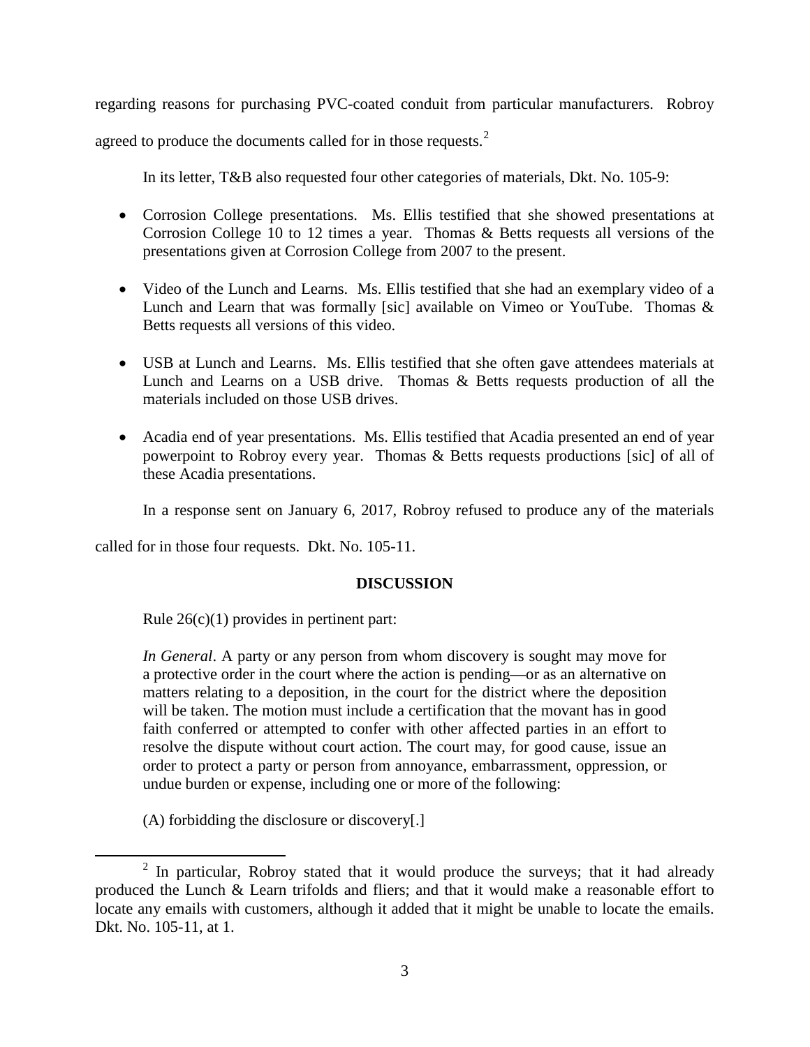regarding reasons for purchasing PVC-coated conduit from particular manufacturers. Robroy

agreed to produce the documents called for in those requests.<sup>[2](#page-2-0)</sup>

In its letter, T&B also requested four other categories of materials, Dkt. No. 105-9:

- Corrosion College presentations. Ms. Ellis testified that she showed presentations at Corrosion College 10 to 12 times a year. Thomas & Betts requests all versions of the presentations given at Corrosion College from 2007 to the present.
- Video of the Lunch and Learns. Ms. Ellis testified that she had an exemplary video of a Lunch and Learn that was formally [sic] available on Vimeo or YouTube. Thomas & Betts requests all versions of this video.
- USB at Lunch and Learns. Ms. Ellis testified that she often gave attendees materials at Lunch and Learns on a USB drive. Thomas & Betts requests production of all the materials included on those USB drives.
- Acadia end of year presentations. Ms. Ellis testified that Acadia presented an end of year powerpoint to Robroy every year. Thomas & Betts requests productions [sic] of all of these Acadia presentations.

In a response sent on January 6, 2017, Robroy refused to produce any of the materials

called for in those four requests. Dkt. No. 105-11.

## **DISCUSSION**

Rule  $26(c)(1)$  provides in pertinent part:

*In General*. A party or any person from whom discovery is sought may move for a protective order in the court where the action is pending—or as an alternative on matters relating to a deposition, in the court for the district where the deposition will be taken. The motion must include a certification that the movant has in good faith conferred or attempted to confer with other affected parties in an effort to resolve the dispute without court action. The court may, for good cause, issue an order to protect a party or person from annoyance, embarrassment, oppression, or undue burden or expense, including one or more of the following:

(A) forbidding the disclosure or discovery[.]

 $\overline{a}$ 

<span id="page-2-0"></span> $2$  In particular, Robroy stated that it would produce the surveys; that it had already produced the Lunch & Learn trifolds and fliers; and that it would make a reasonable effort to locate any emails with customers, although it added that it might be unable to locate the emails. Dkt. No. 105-11, at 1.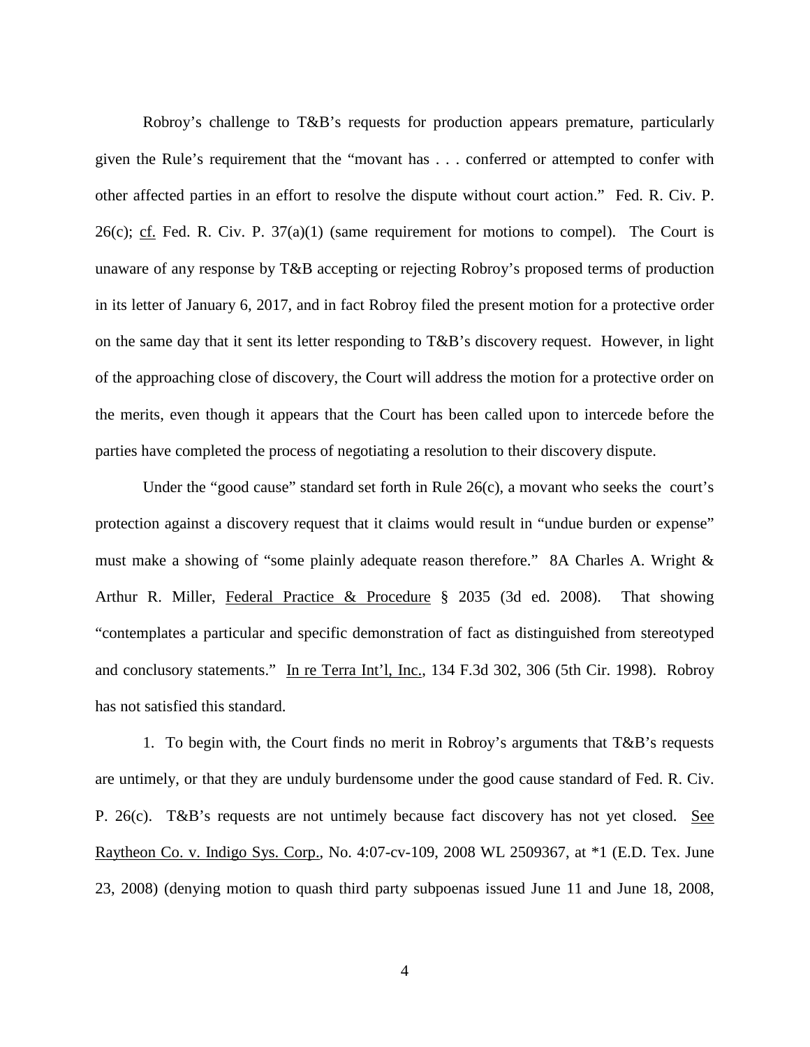Robroy's challenge to T&B's requests for production appears premature, particularly given the Rule's requirement that the "movant has . . . conferred or attempted to confer with other affected parties in an effort to resolve the dispute without court action." Fed. R. Civ. P. 26(c); cf. Fed. R. Civ. P.  $37(a)(1)$  (same requirement for motions to compel). The Court is unaware of any response by T&B accepting or rejecting Robroy's proposed terms of production in its letter of January 6, 2017, and in fact Robroy filed the present motion for a protective order on the same day that it sent its letter responding to T&B's discovery request. However, in light of the approaching close of discovery, the Court will address the motion for a protective order on the merits, even though it appears that the Court has been called upon to intercede before the parties have completed the process of negotiating a resolution to their discovery dispute.

Under the "good cause" standard set forth in Rule 26(c), a movant who seeks the court's protection against a discovery request that it claims would result in "undue burden or expense" must make a showing of "some plainly adequate reason therefore." 8A Charles A. Wright & Arthur R. Miller, Federal Practice & Procedure § 2035 (3d ed. 2008). That showing "contemplates a particular and specific demonstration of fact as distinguished from stereotyped and conclusory statements." In re Terra Int'l, Inc., 134 F.3d 302, 306 (5th Cir. 1998). Robroy has not satisfied this standard.

1. To begin with, the Court finds no merit in Robroy's arguments that T&B's requests are untimely, or that they are unduly burdensome under the good cause standard of Fed. R. Civ. P. 26(c). T&B's requests are not untimely because fact discovery has not yet closed. See Raytheon Co. v. Indigo Sys. Corp., No. 4:07-cv-109, 2008 WL 2509367, at \*1 (E.D. Tex. June 23, 2008) (denying motion to quash third party subpoenas issued June 11 and June 18, 2008,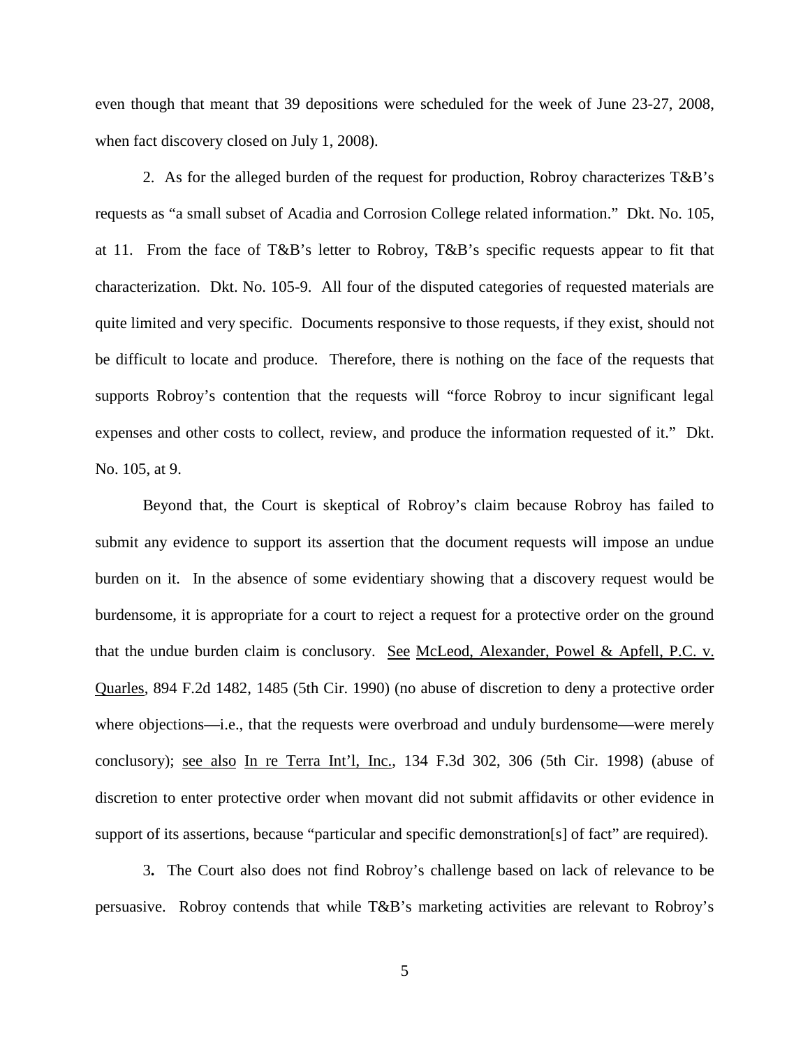even though that meant that 39 depositions were scheduled for the week of June 23-27, 2008, when fact discovery closed on July 1, 2008).

2. As for the alleged burden of the request for production, Robroy characterizes  $T\&B$ 's requests as "a small subset of Acadia and Corrosion College related information." Dkt. No. 105, at 11. From the face of T&B's letter to Robroy, T&B's specific requests appear to fit that characterization. Dkt. No. 105-9. All four of the disputed categories of requested materials are quite limited and very specific. Documents responsive to those requests, if they exist, should not be difficult to locate and produce. Therefore, there is nothing on the face of the requests that supports Robroy's contention that the requests will "force Robroy to incur significant legal expenses and other costs to collect, review, and produce the information requested of it." Dkt. No. 105, at 9.

Beyond that, the Court is skeptical of Robroy's claim because Robroy has failed to submit any evidence to support its assertion that the document requests will impose an undue burden on it. In the absence of some evidentiary showing that a discovery request would be burdensome, it is appropriate for a court to reject a request for a protective order on the ground that the undue burden claim is conclusory. See McLeod, Alexander, Powel & Apfell, P.C. v. Quarles, 894 F.2d 1482, 1485 (5th Cir. 1990) (no abuse of discretion to deny a protective order where objections—i.e., that the requests were overbroad and unduly burdensome—were merely conclusory); see also In re Terra Int'l, Inc., 134 F.3d 302, 306 (5th Cir. 1998) (abuse of discretion to enter protective order when movant did not submit affidavits or other evidence in support of its assertions, because "particular and specific demonstration[s] of fact" are required).

3**.** The Court also does not find Robroy's challenge based on lack of relevance to be persuasive. Robroy contends that while T&B's marketing activities are relevant to Robroy's

5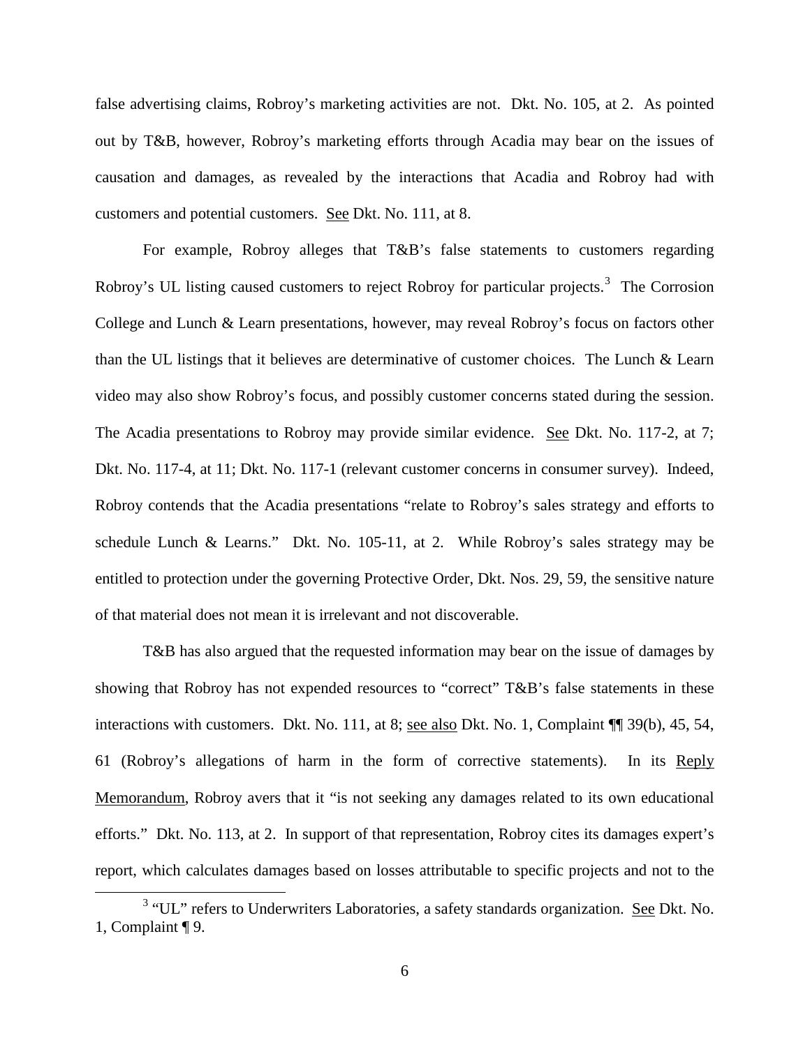false advertising claims, Robroy's marketing activities are not. Dkt. No. 105, at 2. As pointed out by T&B, however, Robroy's marketing efforts through Acadia may bear on the issues of causation and damages, as revealed by the interactions that Acadia and Robroy had with customers and potential customers. See Dkt. No. 111, at 8.

For example, Robroy alleges that T&B's false statements to customers regarding Robroy's UL listing caused customers to reject Robroy for particular projects.<sup>[3](#page-5-0)</sup> The Corrosion College and Lunch & Learn presentations, however, may reveal Robroy's focus on factors other than the UL listings that it believes are determinative of customer choices. The Lunch & Learn video may also show Robroy's focus, and possibly customer concerns stated during the session. The Acadia presentations to Robroy may provide similar evidence. See Dkt. No. 117-2, at 7; Dkt. No. 117-4, at 11; Dkt. No. 117-1 (relevant customer concerns in consumer survey). Indeed, Robroy contends that the Acadia presentations "relate to Robroy's sales strategy and efforts to schedule Lunch & Learns." Dkt. No. 105-11, at 2. While Robroy's sales strategy may be entitled to protection under the governing Protective Order, Dkt. Nos. 29, 59, the sensitive nature of that material does not mean it is irrelevant and not discoverable.

T&B has also argued that the requested information may bear on the issue of damages by showing that Robroy has not expended resources to "correct" T&B's false statements in these interactions with customers. Dkt. No. 111, at 8; <u>see also</u> Dkt. No. 1, Complaint  $\P$  39(b), 45, 54, 61 (Robroy's allegations of harm in the form of corrective statements). In its Reply Memorandum, Robroy avers that it "is not seeking any damages related to its own educational efforts." Dkt. No. 113, at 2. In support of that representation, Robroy cites its damages expert's report, which calculates damages based on losses attributable to specific projects and not to the

 $\overline{a}$ 

<span id="page-5-0"></span><sup>&</sup>lt;sup>3</sup> "UL" refers to Underwriters Laboratories, a safety standards organization. See Dkt. No. 1, Complaint ¶ 9.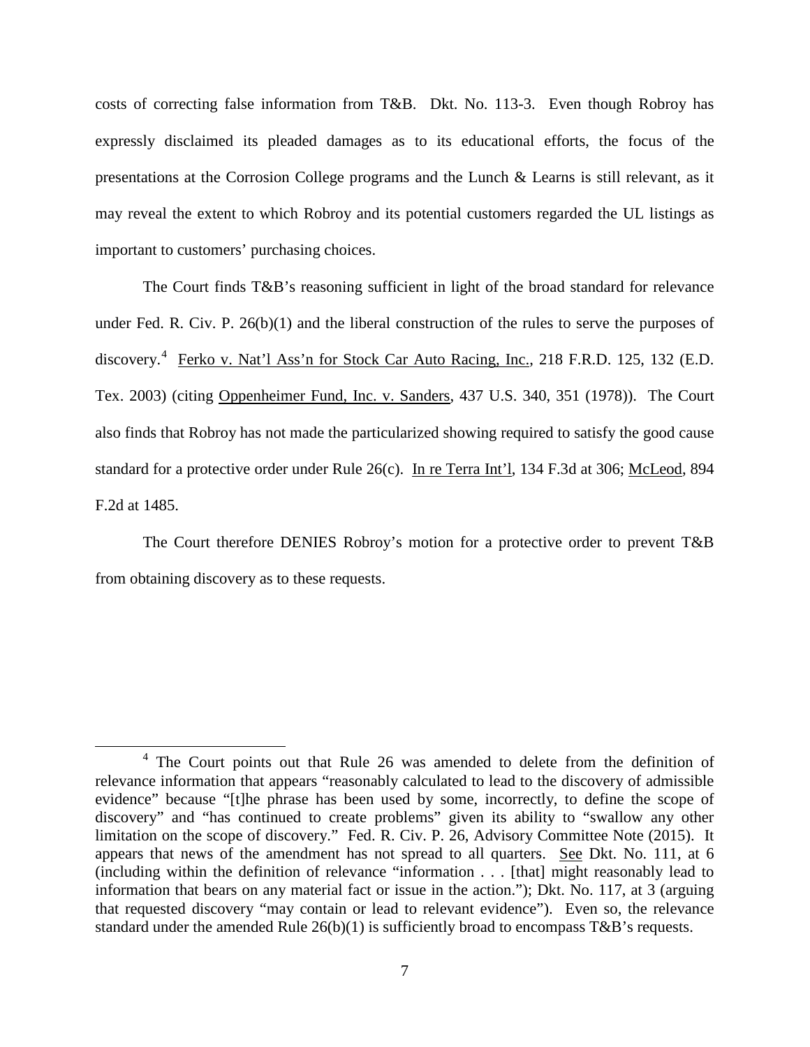costs of correcting false information from T&B. Dkt. No. 113-3. Even though Robroy has expressly disclaimed its pleaded damages as to its educational efforts, the focus of the presentations at the Corrosion College programs and the Lunch & Learns is still relevant, as it may reveal the extent to which Robroy and its potential customers regarded the UL listings as important to customers' purchasing choices.

The Court finds T&B's reasoning sufficient in light of the broad standard for relevance under Fed. R. Civ. P. 26(b)(1) and the liberal construction of the rules to serve the purposes of discovery.<sup>[4](#page-6-0)</sup> Ferko v. Nat'l Ass'n for Stock Car Auto Racing, Inc., 218 F.R.D. 125, 132 (E.D. Tex. 2003) (citing Oppenheimer Fund, Inc. v. Sanders, 437 U.S. 340, 351 (1978)). The Court also finds that Robroy has not made the particularized showing required to satisfy the good cause standard for a protective order under Rule 26(c). In re Terra Int'l, 134 F.3d at 306; McLeod, 894 F.2d at 1485.

The Court therefore DENIES Robroy's motion for a protective order to prevent T&B from obtaining discovery as to these requests.

 $\overline{a}$ 

<span id="page-6-0"></span><sup>&</sup>lt;sup>4</sup> The Court points out that Rule 26 was amended to delete from the definition of relevance information that appears "reasonably calculated to lead to the discovery of admissible evidence" because "[t]he phrase has been used by some, incorrectly, to define the scope of discovery" and "has continued to create problems" given its ability to "swallow any other limitation on the scope of discovery." Fed. R. Civ. P. 26, Advisory Committee Note (2015). It appears that news of the amendment has not spread to all quarters. See Dkt. No. 111, at 6 (including within the definition of relevance "information . . . [that] might reasonably lead to information that bears on any material fact or issue in the action."); Dkt. No. 117, at 3 (arguing that requested discovery "may contain or lead to relevant evidence"). Even so, the relevance standard under the amended Rule 26(b)(1) is sufficiently broad to encompass T&B's requests.